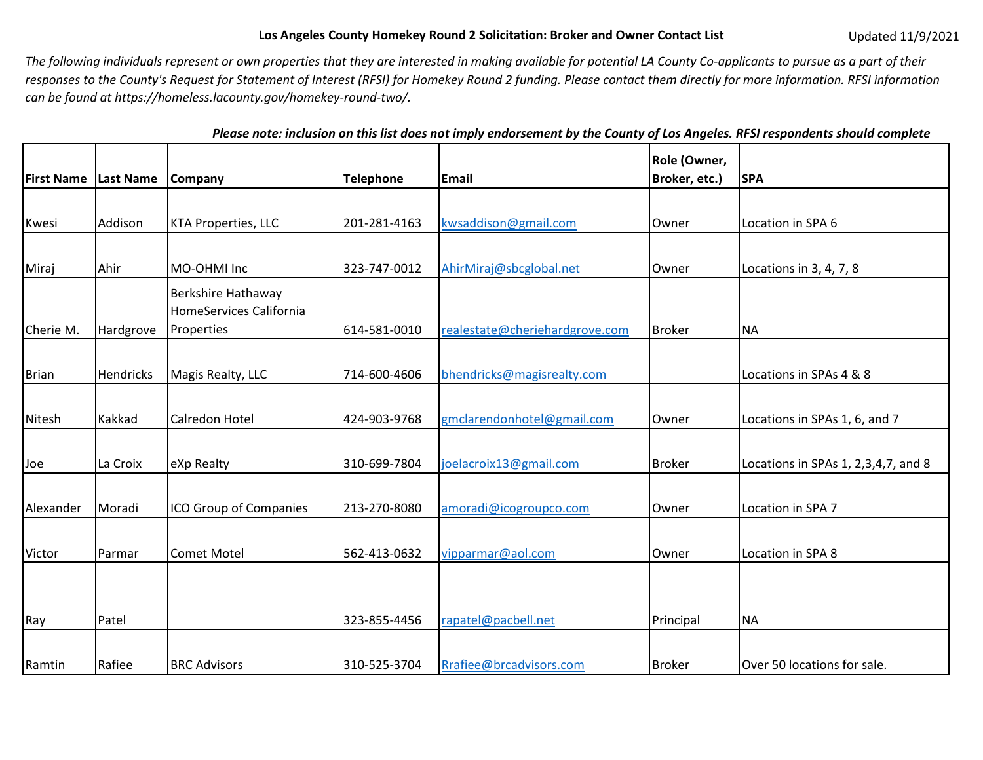## Los Angeles County Homekey Round 2 Solicitation: Broker and Owner Contact List Updated 11/9/2021

*The following individuals represent or own properties that they are interested in making available for potential LA County Co‐applicants to pursue as a part of their responses to the County's Request for Statement of Interest (RFSI) for Homekey Round 2 funding. Please contact them directly for more information. RFSI information can be found at https://homeless.lacounty.gov/homekey‐round‐two/.* 

 *Please note: inclusion on this list does not imply endorsement by the County of Los Angeles. RFSI respondents should complete* 

| <b>First Name</b> | Last Name        | <b>Company</b>                                | <b>Telephone</b> | <b>Email</b>                   | Role (Owner,<br>Broker, etc.) | <b>SPA</b>                          |
|-------------------|------------------|-----------------------------------------------|------------------|--------------------------------|-------------------------------|-------------------------------------|
|                   |                  |                                               |                  |                                |                               |                                     |
| Kwesi             | Addison          | <b>KTA Properties, LLC</b>                    | 201-281-4163     | kwsaddison@gmail.com           | Owner                         | Location in SPA 6                   |
|                   |                  |                                               |                  |                                |                               |                                     |
| Miraj             | Ahir             | MO-OHMI Inc                                   | 323-747-0012     | AhirMiraj@sbcglobal.net        | Owner                         | Locations in 3, 4, 7, 8             |
|                   |                  | Berkshire Hathaway<br>HomeServices California |                  |                                |                               |                                     |
| Cherie M.         | Hardgrove        | Properties                                    | 614-581-0010     | realestate@cheriehardgrove.com | <b>Broker</b>                 | <b>NA</b>                           |
| Brian             | <b>Hendricks</b> | Magis Realty, LLC                             | 714-600-4606     | bhendricks@magisrealty.com     |                               | Locations in SPAs 4 & 8             |
| Nitesh            | Kakkad           | Calredon Hotel                                | 424-903-9768     | gmclarendonhotel@gmail.com     | Owner                         | Locations in SPAs 1, 6, and 7       |
| Joe               | La Croix         | eXp Realty                                    | 310-699-7804     | joelacroix13@gmail.com         | <b>Broker</b>                 | Locations in SPAs 1, 2,3,4,7, and 8 |
| Alexander         | Moradi           | ICO Group of Companies                        | 213-270-8080     | amoradi@icogroupco.com         | Owner                         | Location in SPA 7                   |
| Victor            | Parmar           | <b>Comet Motel</b>                            | 562-413-0632     | vipparmar@aol.com              | Owner                         | Location in SPA 8                   |
|                   |                  |                                               |                  |                                |                               |                                     |
| Ray               | Patel            |                                               | 323-855-4456     | rapatel@pacbell.net            | Principal                     | <b>NA</b>                           |
| Ramtin            | Rafiee           | <b>BRC Advisors</b>                           | 310-525-3704     | Rrafiee@brcadvisors.com        | <b>Broker</b>                 | Over 50 locations for sale.         |